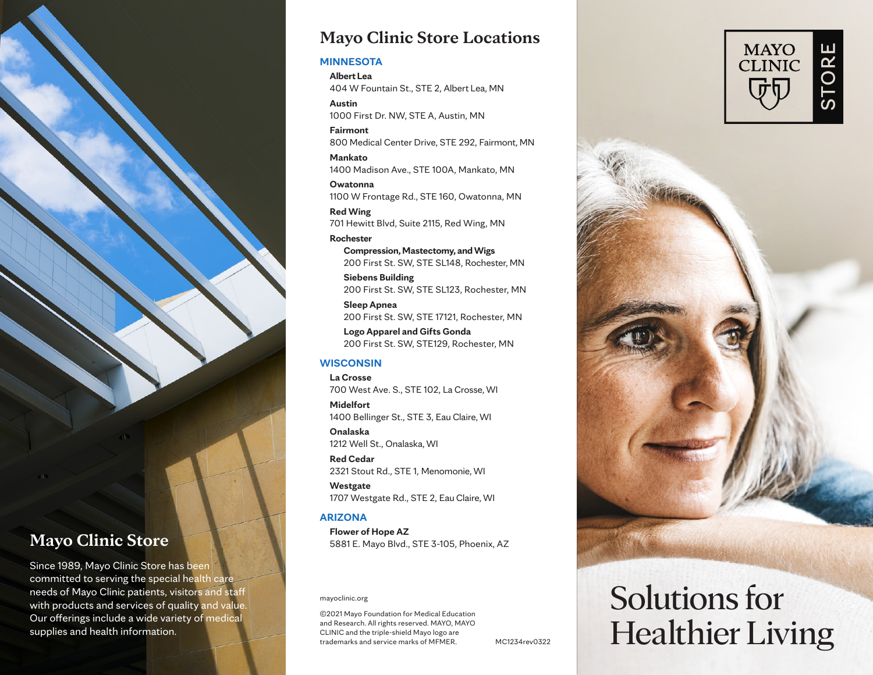

### **Mayo Clinic Store**

Since 1989, Mayo Clinic Store has been committed to serving the special health care needs of Mayo Clinic patients, visitors and staff with products and services of quality and value. Our offerings include a wide variety of medical supplies and health information.

#### **Mayo Clinic Store Locations**

#### **MINNESOTA**

**Albert Lea** 404 W Fountain St., STE 2, Albert Lea, MN

**Austin**  1000 First Dr. NW, STE A, Austin, MN

**Fairmont** 800 Medical Center Drive, STE 292, Fairmont, MN

**Mankato**  1400 Madison Ave., STE 100A, Mankato, MN

**Owatonna**  1100 W Frontage Rd., STE 160, Owatonna, MN

**Red Wing** 701 Hewitt Blvd, Suite 2115, Red Wing, MN

**Rochester Compression, Mastectomy, and Wigs** 200 First St. SW, STE SL148, Rochester, MN

**Siebens Building** 200 First St. SW, STE SL123, Rochester, MN

**Sleep Apnea** 200 First St. SW, STE 17121, Rochester, MN

**Logo Apparel and Gifts Gonda** 200 First St. SW, STE129, Rochester, MN

#### **WISCONSIN**

**La Crosse**  700 West Ave. S., STE 102, La Crosse, WI

**Midelfort**  1400 Bellinger St., STE 3, Eau Claire, WI

**Onalaska** 1212 Well St., Onalaska, WI

**Red Cedar** 2321 Stout Rd., STE 1, Menomonie, WI

**Westgate**  1707 Westgate Rd., STE 2, Eau Claire, WI

#### **ARIZONA**

**Flower of Hope AZ** 5881 E. Mayo Blvd., STE 3-105, Phoenix, AZ

mayoclinic.org

©2021 Mayo Foundation for Medical Education and Research. All rights reserved. MAYO, MAYO CLINIC and the triple-shield Mayo logo are trademarks and service marks of MFMER.

MC1234rev0322